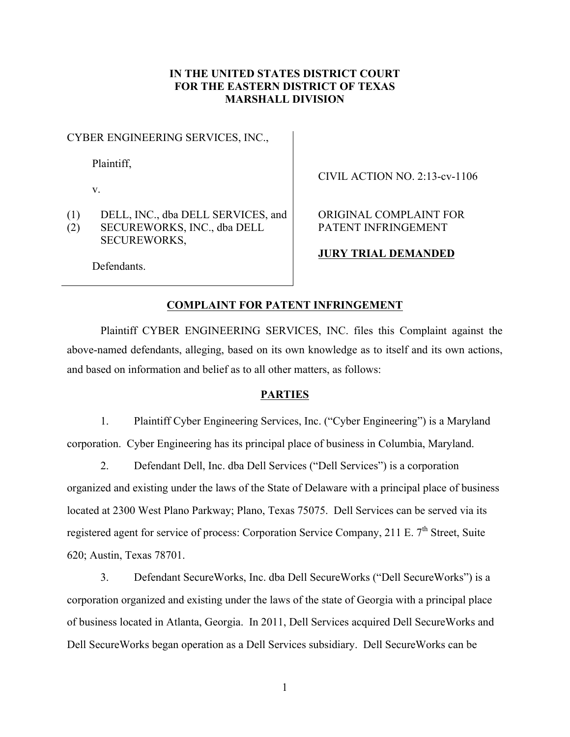# **IN THE UNITED STATES DISTRICT COURT FOR THE EASTERN DISTRICT OF TEXAS MARSHALL DIVISION**

CYBER ENGINEERING SERVICES, INC.,

Plaintiff,

v.

(1) DELL, INC., dba DELL SERVICES, and (2) SECUREWORKS, INC., dba DELL SECUREWORKS,

CIVIL ACTION NO. 2:13-cv-1106

ORIGINAL COMPLAINT FOR PATENT INFRINGEMENT

**JURY TRIAL DEMANDED**

Defendants.

### **COMPLAINT FOR PATENT INFRINGEMENT**

Plaintiff CYBER ENGINEERING SERVICES, INC. files this Complaint against the above-named defendants, alleging, based on its own knowledge as to itself and its own actions, and based on information and belief as to all other matters, as follows:

## **PARTIES**

1. Plaintiff Cyber Engineering Services, Inc. ("Cyber Engineering") is a Maryland corporation. Cyber Engineering has its principal place of business in Columbia, Maryland.

2. Defendant Dell, Inc. dba Dell Services ("Dell Services") is a corporation organized and existing under the laws of the State of Delaware with a principal place of business located at 2300 West Plano Parkway; Plano, Texas 75075. Dell Services can be served via its registered agent for service of process: Corporation Service Company, 211 E. 7<sup>th</sup> Street, Suite 620; Austin, Texas 78701.

3. Defendant SecureWorks, Inc. dba Dell SecureWorks ("Dell SecureWorks") is a corporation organized and existing under the laws of the state of Georgia with a principal place of business located in Atlanta, Georgia. In 2011, Dell Services acquired Dell SecureWorks and Dell SecureWorks began operation as a Dell Services subsidiary. Dell SecureWorks can be

1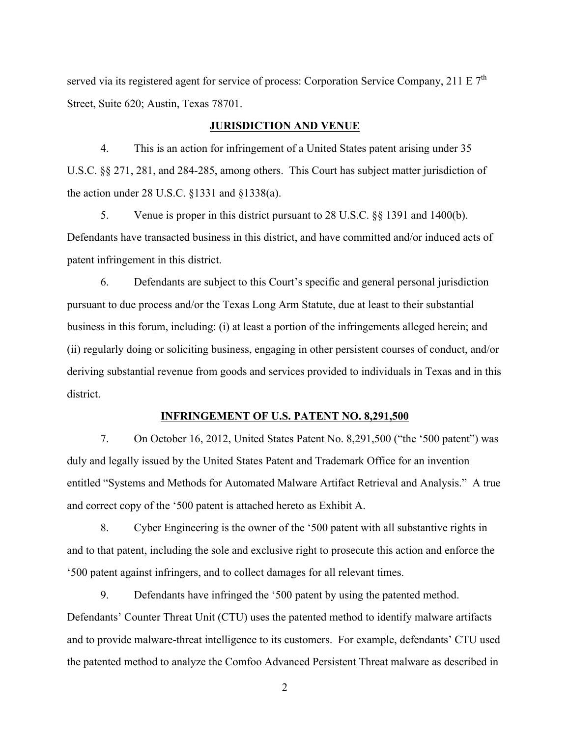served via its registered agent for service of process: Corporation Service Company, 211 E  $7<sup>th</sup>$ Street, Suite 620; Austin, Texas 78701.

### **JURISDICTION AND VENUE**

4. This is an action for infringement of a United States patent arising under 35 U.S.C. §§ 271, 281, and 284-285, among others. This Court has subject matter jurisdiction of the action under 28 U.S.C. §1331 and §1338(a).

5. Venue is proper in this district pursuant to 28 U.S.C. §§ 1391 and 1400(b). Defendants have transacted business in this district, and have committed and/or induced acts of patent infringement in this district.

6. Defendants are subject to this Court's specific and general personal jurisdiction pursuant to due process and/or the Texas Long Arm Statute, due at least to their substantial business in this forum, including: (i) at least a portion of the infringements alleged herein; and (ii) regularly doing or soliciting business, engaging in other persistent courses of conduct, and/or deriving substantial revenue from goods and services provided to individuals in Texas and in this district.

### **INFRINGEMENT OF U.S. PATENT NO. 8,291,500**

7. On October 16, 2012, United States Patent No. 8,291,500 ("the '500 patent") was duly and legally issued by the United States Patent and Trademark Office for an invention entitled "Systems and Methods for Automated Malware Artifact Retrieval and Analysis." A true and correct copy of the '500 patent is attached hereto as Exhibit A.

8. Cyber Engineering is the owner of the '500 patent with all substantive rights in and to that patent, including the sole and exclusive right to prosecute this action and enforce the '500 patent against infringers, and to collect damages for all relevant times.

9. Defendants have infringed the '500 patent by using the patented method. Defendants' Counter Threat Unit (CTU) uses the patented method to identify malware artifacts and to provide malware-threat intelligence to its customers. For example, defendants' CTU used the patented method to analyze the Comfoo Advanced Persistent Threat malware as described in

2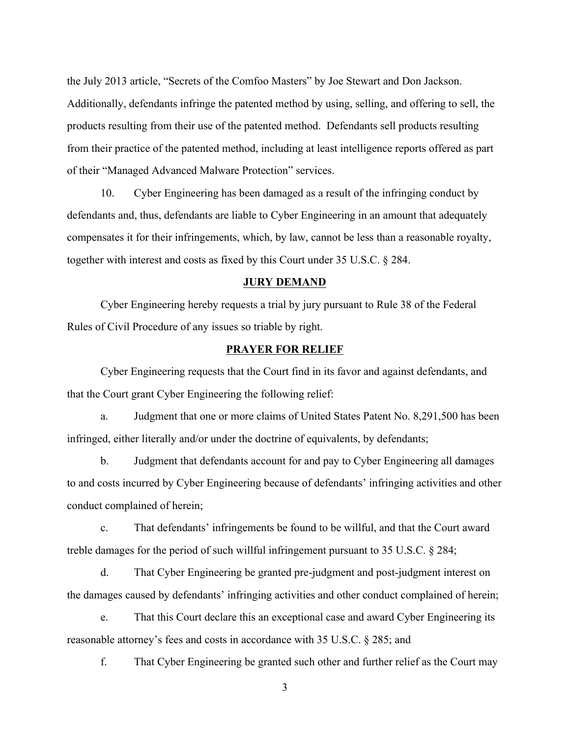the July 2013 article, "Secrets of the Comfoo Masters" by Joe Stewart and Don Jackson. Additionally, defendants infringe the patented method by using, selling, and offering to sell, the products resulting from their use of the patented method. Defendants sell products resulting from their practice of the patented method, including at least intelligence reports offered as part of their "Managed Advanced Malware Protection" services.

10. Cyber Engineering has been damaged as a result of the infringing conduct by defendants and, thus, defendants are liable to Cyber Engineering in an amount that adequately compensates it for their infringements, which, by law, cannot be less than a reasonable royalty, together with interest and costs as fixed by this Court under 35 U.S.C. § 284.

#### **JURY DEMAND**

Cyber Engineering hereby requests a trial by jury pursuant to Rule 38 of the Federal Rules of Civil Procedure of any issues so triable by right.

### **PRAYER FOR RELIEF**

Cyber Engineering requests that the Court find in its favor and against defendants, and that the Court grant Cyber Engineering the following relief:

a. Judgment that one or more claims of United States Patent No. 8,291,500 has been infringed, either literally and/or under the doctrine of equivalents, by defendants;

b. Judgment that defendants account for and pay to Cyber Engineering all damages to and costs incurred by Cyber Engineering because of defendants' infringing activities and other conduct complained of herein;

c. That defendants' infringements be found to be willful, and that the Court award treble damages for the period of such willful infringement pursuant to 35 U.S.C. § 284;

d. That Cyber Engineering be granted pre-judgment and post-judgment interest on the damages caused by defendants' infringing activities and other conduct complained of herein;

e. That this Court declare this an exceptional case and award Cyber Engineering its reasonable attorney's fees and costs in accordance with 35 U.S.C. § 285; and

f. That Cyber Engineering be granted such other and further relief as the Court may

3